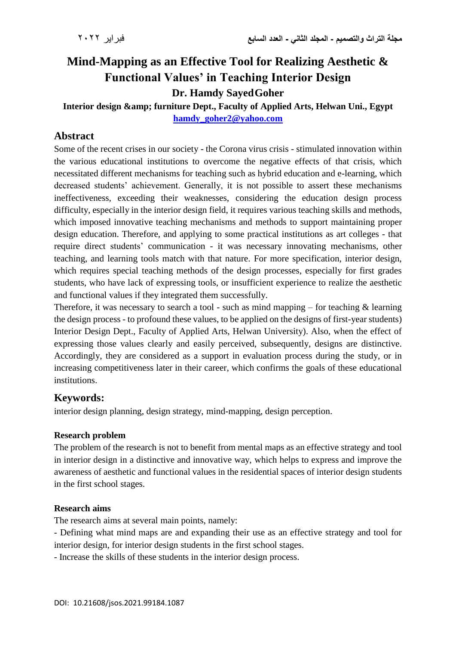# **Mind-Mapping as an Effective Tool for Realizing Aesthetic & Functional Values' in Teaching Interior Design Dr. Hamdy SayedGoher**

**Interior design & furniture Dept., Faculty of Applied Arts, Helwan Uni., Egypt [hamdy\\_goher2@yahoo.com](mailto:hamdy_goher2@yahoo.com)** 

# **Abstract**

Some of the recent crises in our society - the Corona virus crisis - stimulated innovation within the various educational institutions to overcome the negative effects of that crisis, which necessitated different mechanisms for teaching such as hybrid education and e-learning, which decreased students' achievement. Generally, it is not possible to assert these mechanisms ineffectiveness, exceeding their weaknesses, considering the education design process difficulty, especially in the interior design field, it requires various teaching skills and methods, which imposed innovative teaching mechanisms and methods to support maintaining proper design education. Therefore, and applying to some practical institutions as art colleges - that require direct students' communication - it was necessary innovating mechanisms, other teaching, and learning tools match with that nature. For more specification, interior design, which requires special teaching methods of the design processes, especially for first grades students, who have lack of expressing tools, or insufficient experience to realize the aesthetic and functional values if they integrated them successfully.

Therefore, it was necessary to search a tool - such as mind mapping  $-$  for teaching  $\&$  learning the design process - to profound these values, to be applied on the designs of first-year students) Interior Design Dept., Faculty of Applied Arts, Helwan University). Also, when the effect of expressing those values clearly and easily perceived, subsequently, designs are distinctive. Accordingly, they are considered as a support in evaluation process during the study, or in increasing competitiveness later in their career, which confirms the goals of these educational institutions.

# **Keywords:**

interior design planning, design strategy, mind-mapping, design perception.

### **Research problem**

The problem of the research is not to benefit from mental maps as an effective strategy and tool in interior design in a distinctive and innovative way, which helps to express and improve the awareness of aesthetic and functional values in the residential spaces of interior design students in the first school stages.

#### **Research aims**

The research aims at several main points, namely:

- Defining what mind maps are and expanding their use as an effective strategy and tool for interior design, for interior design students in the first school stages.

- Increase the skills of these students in the interior design process.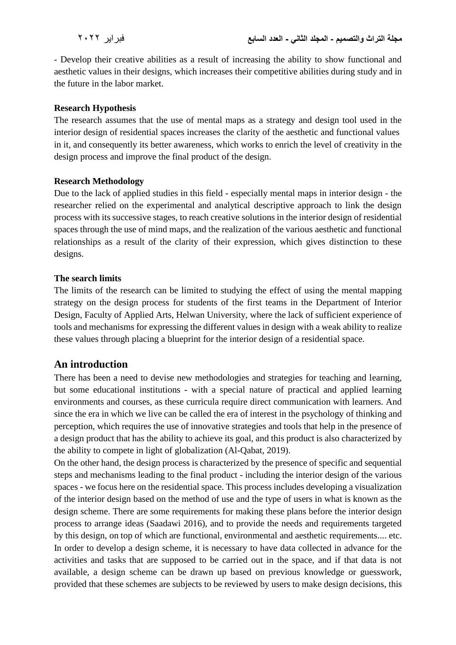- Develop their creative abilities as a result of increasing the ability to show functional and aesthetic values in their designs, which increases their competitive abilities during study and in the future in the labor market.

#### **Research Hypothesis**

The research assumes that the use of mental maps as a strategy and design tool used in the interior design of residential spaces increases the clarity of the aesthetic and functional values in it, and consequently its better awareness, which works to enrich the level of creativity in the design process and improve the final product of the design.

#### **Research Methodology**

Due to the lack of applied studies in this field - especially mental maps in interior design - the researcher relied on the experimental and analytical descriptive approach to link the design process with its successive stages, to reach creative solutions in the interior design of residential spaces through the use of mind maps, and the realization of the various aesthetic and functional relationships as a result of the clarity of their expression, which gives distinction to these designs.

#### **The search limits**

The limits of the research can be limited to studying the effect of using the mental mapping strategy on the design process for students of the first teams in the Department of Interior Design, Faculty of Applied Arts, Helwan University, where the lack of sufficient experience of tools and mechanisms for expressing the different values in design with a weak ability to realize these values through placing a blueprint for the interior design of a residential space.

# **An introduction**

There has been a need to devise new methodologies and strategies for teaching and learning, but some educational institutions - with a special nature of practical and applied learning environments and courses, as these curricula require direct communication with learners. And since the era in which we live can be called the era of interest in the psychology of thinking and perception, which requires the use of innovative strategies and tools that help in the presence of a design product that has the ability to achieve its goal, and this product is also characterized by the ability to compete in light of globalization (Al-Qabat, 2019).

On the other hand, the design process is characterized by the presence of specific and sequential steps and mechanisms leading to the final product - including the interior design of the various spaces - we focus here on the residential space. This process includes developing a visualization of the interior design based on the method of use and the type of users in what is known as the design scheme. There are some requirements for making these plans before the interior design process to arrange ideas (Saadawi 2016), and to provide the needs and requirements targeted by this design, on top of which are functional, environmental and aesthetic requirements.... etc. In order to develop a design scheme, it is necessary to have data collected in advance for the activities and tasks that are supposed to be carried out in the space, and if that data is not available, a design scheme can be drawn up based on previous knowledge or guesswork, provided that these schemes are subjects to be reviewed by users to make design decisions, this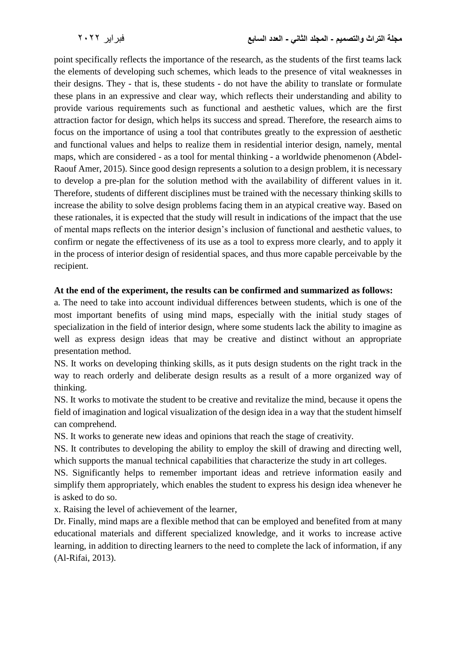point specifically reflects the importance of the research, as the students of the first teams lack the elements of developing such schemes, which leads to the presence of vital weaknesses in their designs. They - that is, these students - do not have the ability to translate or formulate these plans in an expressive and clear way, which reflects their understanding and ability to provide various requirements such as functional and aesthetic values, which are the first attraction factor for design, which helps its success and spread. Therefore, the research aims to focus on the importance of using a tool that contributes greatly to the expression of aesthetic and functional values and helps to realize them in residential interior design, namely, mental maps, which are considered - as a tool for mental thinking - a worldwide phenomenon (Abdel-Raouf Amer, 2015). Since good design represents a solution to a design problem, it is necessary to develop a pre-plan for the solution method with the availability of different values in it. Therefore, students of different disciplines must be trained with the necessary thinking skills to increase the ability to solve design problems facing them in an atypical creative way. Based on these rationales, it is expected that the study will result in indications of the impact that the use of mental maps reflects on the interior design's inclusion of functional and aesthetic values, to confirm or negate the effectiveness of its use as a tool to express more clearly, and to apply it in the process of interior design of residential spaces, and thus more capable perceivable by the recipient.

#### **At the end of the experiment, the results can be confirmed and summarized as follows:**

a. The need to take into account individual differences between students, which is one of the most important benefits of using mind maps, especially with the initial study stages of specialization in the field of interior design, where some students lack the ability to imagine as well as express design ideas that may be creative and distinct without an appropriate presentation method.

NS. It works on developing thinking skills, as it puts design students on the right track in the way to reach orderly and deliberate design results as a result of a more organized way of thinking.

NS. It works to motivate the student to be creative and revitalize the mind, because it opens the field of imagination and logical visualization of the design idea in a way that the student himself can comprehend.

NS. It works to generate new ideas and opinions that reach the stage of creativity.

NS. It contributes to developing the ability to employ the skill of drawing and directing well, which supports the manual technical capabilities that characterize the study in art colleges.

NS. Significantly helps to remember important ideas and retrieve information easily and simplify them appropriately, which enables the student to express his design idea whenever he is asked to do so.

x. Raising the level of achievement of the learner,

Dr. Finally, mind maps are a flexible method that can be employed and benefited from at many educational materials and different specialized knowledge, and it works to increase active learning, in addition to directing learners to the need to complete the lack of information, if any (Al-Rifai, 2013).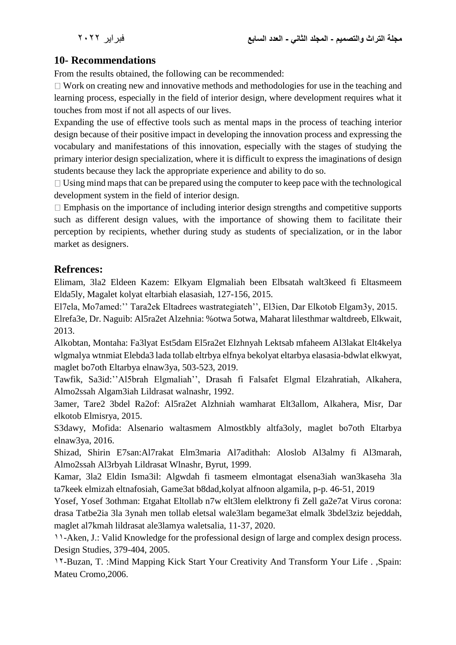# **10- Recommendations**

From the results obtained, the following can be recommended:

 $\Box$  Work on creating new and innovative methods and methodologies for use in the teaching and learning process, especially in the field of interior design, where development requires what it touches from most if not all aspects of our lives.

Expanding the use of effective tools such as mental maps in the process of teaching interior design because of their positive impact in developing the innovation process and expressing the vocabulary and manifestations of this innovation, especially with the stages of studying the primary interior design specialization, where it is difficult to express the imaginations of design students because they lack the appropriate experience and ability to do so.

 $\Box$  Using mind maps that can be prepared using the computer to keep pace with the technological development system in the field of interior design.

 $\Box$  Emphasis on the importance of including interior design strengths and competitive supports such as different design values, with the importance of showing them to facilitate their perception by recipients, whether during study as students of specialization, or in the labor market as designers.

### **Refrences:**

Elimam, 3la2 Eldeen Kazem: Elkyam Elgmaliah been Elbsatah walt3keed fi Eltasmeem Elda5ly, Magalet kolyat eltarbiah elasasiah, 127-156, 2015.

El7ela, Mo7amed:'' Tara2ek Eltadrees wastrategiateh'', El3ien, Dar Elkotob Elgam3y, 2015.

Elrefa3e, Dr. Naguib: Al5ra2et Alzehnia: %otwa 5otwa, Maharat lilesthmar waltdreeb, Elkwait, 2013.

Alkobtan, Montaha: Fa3lyat Est5dam El5ra2et Elzhnyah Lektsab mfaheem Al3lakat Elt4kelya wlgmalya wtnmiat Elebda3 lada tollab eltrbya elfnya bekolyat eltarbya elasasia-bdwlat elkwyat, maglet bo7oth Eltarbya elnaw3ya, 503-523, 2019.

Tawfik, Sa3id:''Al5brah Elgmaliah'', Drasah fi Falsafet Elgmal Elzahratiah, Alkahera, Almo2ssah Algam3iah Lildrasat walnashr, 1992.

3amer, Tare2 3bdel Ra2of: Al5ra2et Alzhniah wamharat Elt3allom, Alkahera, Misr, Dar elkotob Elmisrya, 2015.

S3dawy, Mofida: Alsenario waltasmem Almostkbly altfa3oly, maglet bo7oth Eltarbya elnaw3ya, 2016.

Shizad, Shirin E7san:Al7rakat Elm3maria Al7adithah: Aloslob Al3almy fi Al3marah, Almo2ssah Al3rbyah Lildrasat Wlnashr, Byrut, 1999.

Kamar, 3la2 Eldin Isma3il: Algwdah fi tasmeem elmontagat elsena3iah wan3kaseha 3la ta7keek elmizah eltnafosiah, Game3at b8dad,kolyat alfnoon algamila, p-p. 46-51, 2019

Yosef, Yosef 3othman: Etgahat Eltollab n7w elt3lem elelktrony fi Zell ga2e7at Virus corona: drasa Tatbe2ia 3la 3ynah men tollab eletsal wale3lam begame3at elmalk 3bdel3ziz bejeddah, maglet al7kmah lildrasat ale3lamya waletsalia, 11-37, 2020.

11-Aken, J.: Valid Knowledge for the professional design of large and complex design process. Design Studies, 379-404, 2005.

12-Buzan, T. :Mind Mapping Kick Start Your Creativity And Transform Your Life . ,Spain: Mateu Cromo,2006.